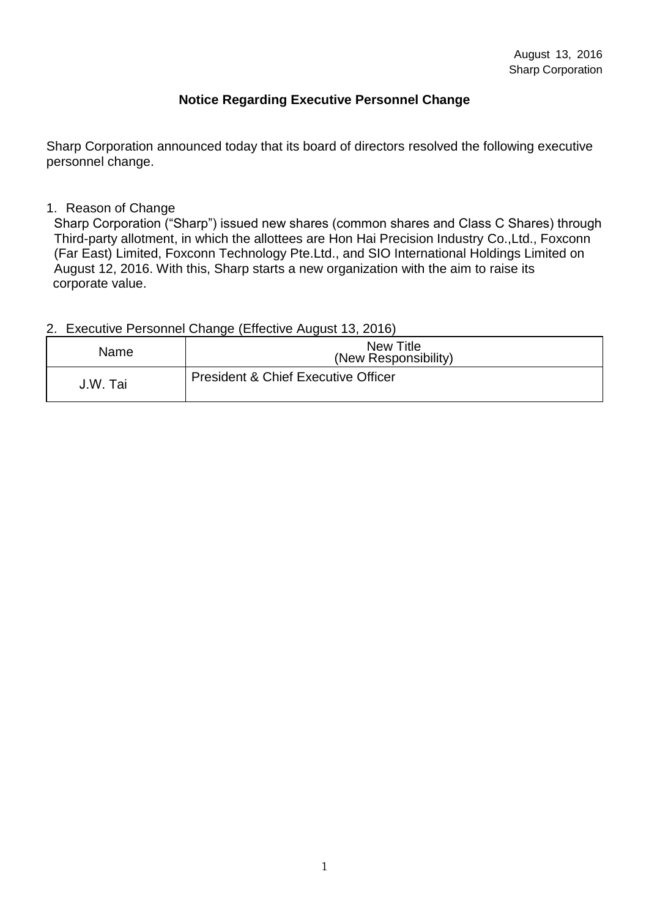### **Notice Regarding [Executive Personnel Change](http://www.sharp-world.com/corporate/news/120327_2.html)**

Sharp Corporation announced today that its board of directors resolved the following executive personnel change.

#### 1. Reason of Change

Sharp Corporation ("Sharp") issued new shares (common shares and Class C Shares) through Third-party allotment, in which the allottees are Hon Hai Precision Industry Co.,Ltd., Foxconn (Far East) Limited, Foxconn Technology Pte.Ltd., and SIO International Holdings Limited on August 12, 2016. With this, Sharp starts a new organization with the aim to raise its corporate value.

#### 2. [Executive Personnel Change](http://www.sharp-world.com/corporate/news/120327_2.html) (Effective August 13, 2016)

| Name     | <b>New Title</b><br>(New Responsibility)       |
|----------|------------------------------------------------|
| J.W. Tai | <b>President &amp; Chief Executive Officer</b> |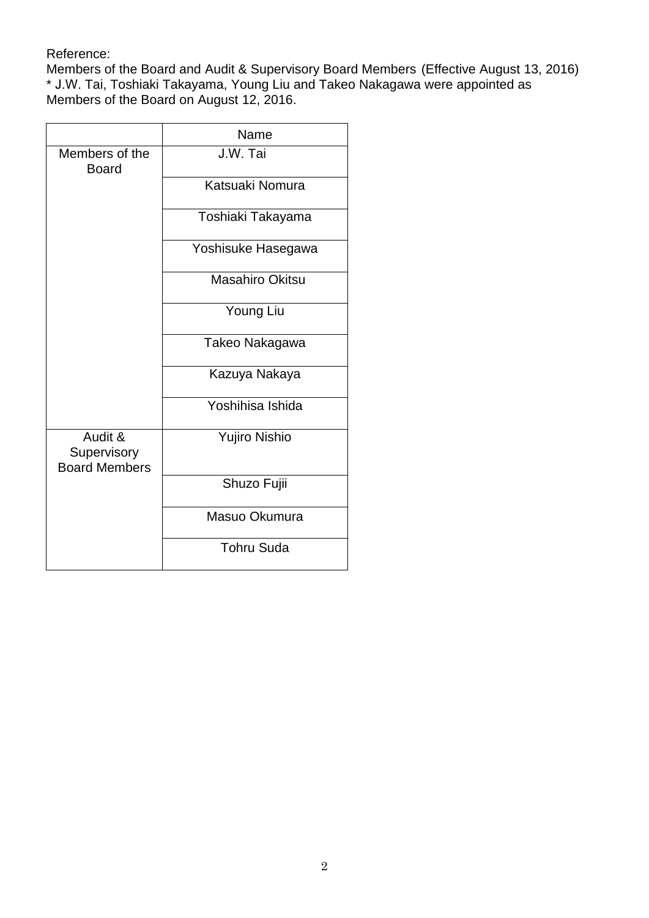#### Reference:

Members of the Board and Audit & Supervisory Board Members (Effective August 13, 2016) \* J.W. Tai, Toshiaki Takayama, Young Liu and Takeo Nakagawa were appointed as Members of the Board on August 12, 2016.

|                                                | Name                   |
|------------------------------------------------|------------------------|
| Members of the<br><b>Board</b>                 | J.W. Tai               |
|                                                | Katsuaki Nomura        |
|                                                | Toshiaki Takayama      |
|                                                | Yoshisuke Hasegawa     |
|                                                | <b>Masahiro Okitsu</b> |
|                                                | Young Liu              |
|                                                | Takeo Nakagawa         |
|                                                | Kazuya Nakaya          |
|                                                | Yoshihisa Ishida       |
| Audit &<br>Supervisory<br><b>Board Members</b> | <b>Yujiro Nishio</b>   |
|                                                | Shuzo Fujii            |
|                                                | Masuo Okumura          |
|                                                | <b>Tohru Suda</b>      |